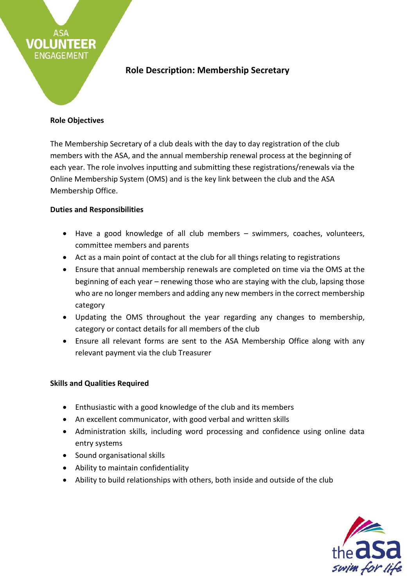

## **Role Objectives**

**EER** 

VOLLI

The Membership Secretary of a club deals with the day to day registration of the club members with the ASA, and the annual membership renewal process at the beginning of each year. The role involves inputting and submitting these registrations/renewals via the Online Membership System (OMS) and is the key link between the club and the ASA Membership Office.

## **Duties and Responsibilities**

- Have a good knowledge of all club members swimmers, coaches, volunteers, committee members and parents
- Act as a main point of contact at the club for all things relating to registrations
- Ensure that annual membership renewals are completed on time via the OMS at the beginning of each year – renewing those who are staying with the club, lapsing those who are no longer members and adding any new members in the correct membership category
- Updating the OMS throughout the year regarding any changes to membership, category or contact details for all members of the club
- Ensure all relevant forms are sent to the ASA Membership Office along with any relevant payment via the club Treasurer

## **Skills and Qualities Required**

- Enthusiastic with a good knowledge of the club and its members
- An excellent communicator, with good verbal and written skills
- Administration skills, including word processing and confidence using online data entry systems
- Sound organisational skills
- Ability to maintain confidentiality
- Ability to build relationships with others, both inside and outside of the club